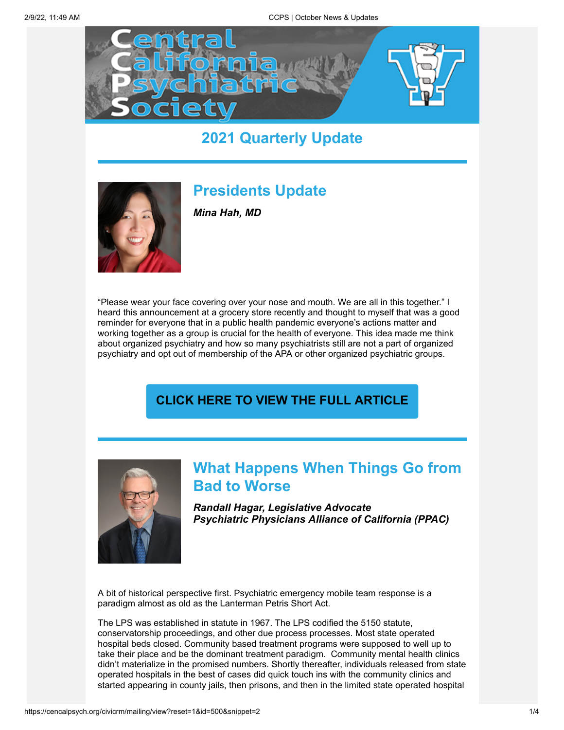

# **2021 Quarterly Update**



# **Presidents Update**

*Mina Hah, MD*

"Please wear your face covering over your nose and mouth. We are all in this together." I heard this announcement at a grocery store recently and thought to myself that was a good reminder for everyone that in a public health pandemic everyone's actions matter and working together as a group is crucial for the health of everyone. This idea made me think about organized psychiatry and how so many psychiatrists still are not a part of organized psychiatry and opt out of membership of the APA or other organized psychiatric groups.

## **[CLICK HERE TO VIEW THE FULL ARTICLE](https://cencalpsych.org/content/october-2021-presidents-message-mina-hah-md)**



# **What Happens When Things Go from Bad to Worse**

*Randall Hagar, Legislative Advocate Psychiatric Physicians Alliance of California (PPAC)*

A bit of historical perspective first. Psychiatric emergency mobile team response is a paradigm almost as old as the Lanterman Petris Short Act.

The LPS was established in statute in 1967. The LPS codified the 5150 statute, conservatorship proceedings, and other due process processes. Most state operated hospital beds closed. Community based treatment programs were supposed to well up to take their place and be the dominant treatment paradigm. Community mental health clinics didn't materialize in the promised numbers. Shortly thereafter, individuals released from state operated hospitals in the best of cases did quick touch ins with the community clinics and started appearing in county jails, then prisons, and then in the limited state operated hospital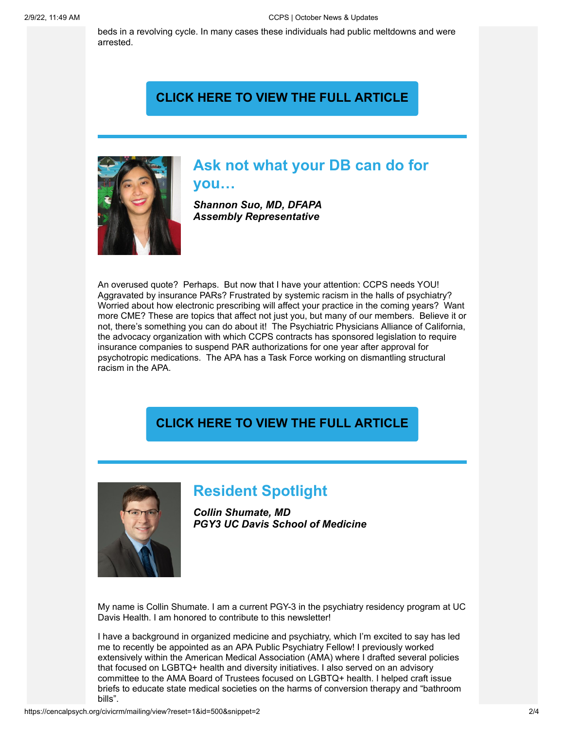beds in a revolving cycle. In many cases these individuals had public meltdowns and were arrested.

#### **[CLICK HERE TO VIEW THE FULL ARTICLE](https://cencalpsych.org/content/october-2021-advocacy-update-randall-hagar)**



## **Ask not what your DB can do for you…**

*Shannon Suo, MD, DFAPA Assembly Representative*

An overused quote? Perhaps. But now that I have your attention: CCPS needs YOU! Aggravated by insurance PARs? Frustrated by systemic racism in the halls of psychiatry? Worried about how electronic prescribing will affect your practice in the coming years? Want more CME? These are topics that affect not just you, but many of our members. Believe it or not, there's something you can do about it! The Psychiatric Physicians Alliance of California, the advocacy organization with which CCPS contracts has sponsored legislation to require insurance companies to suspend PAR authorizations for one year after approval for psychotropic medications. The APA has a Task Force working on dismantling structural racism in the APA.

#### **[CLICK HERE TO VIEW THE FULL ARTICLE](https://cencalpsych.org/content/suo-october-newsletter-article)**



## **Resident Spotlight**

*Collin Shumate, MD PGY3 UC Davis School of Medicine*

My name is Collin Shumate. I am a current PGY-3 in the psychiatry residency program at UC Davis Health. I am honored to contribute to this newsletter!

I have a background in organized medicine and psychiatry, which I'm excited to say has led me to recently be appointed as an APA Public Psychiatry Fellow! I previously worked extensively within the American Medical Association (AMA) where I drafted several policies that focused on LGBTQ+ health and diversity initiatives. I also served on an advisory committee to the AMA Board of Trustees focused on LGBTQ+ health. I helped craft issue briefs to educate state medical societies on the harms of conversion therapy and "bathroom bills".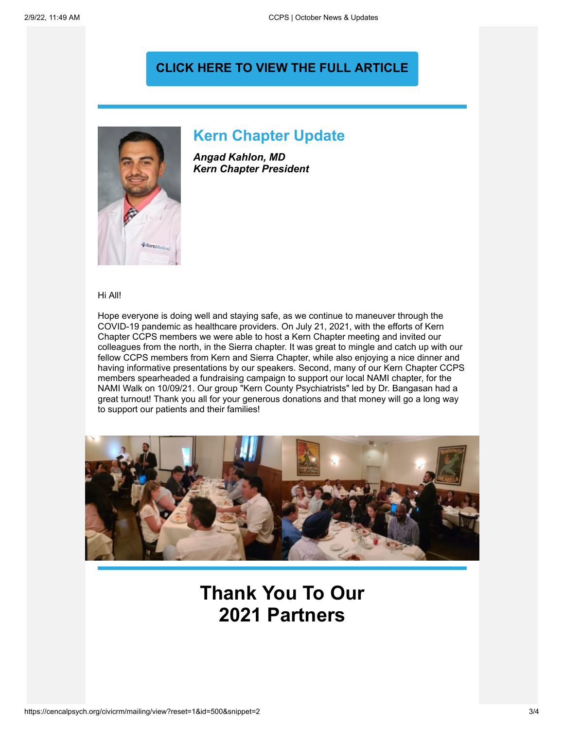#### **[CLICK HERE TO VIEW THE FULL ARTICLE](https://cencalpsych.org/content/october-newsletter-shumate-resident-spotlight)**



#### **Kern Chapter Update**

*Angad Kahlon, MD Kern Chapter President*

Hi All!

Hope everyone is doing well and staying safe, as we continue to maneuver through the COVID-19 pandemic as healthcare providers. On July 21, 2021, with the efforts of Kern Chapter CCPS members we were able to host a Kern Chapter meeting and invited our colleagues from the north, in the Sierra chapter. It was great to mingle and catch up with our fellow CCPS members from Kern and Sierra Chapter, while also enjoying a nice dinner and having informative presentations by our speakers. Second, many of our Kern Chapter CCPS members spearheaded a fundraising campaign to support our local NAMI chapter, for the NAMI Walk on 10/09/21. Our group "Kern County Psychiatrists" led by Dr. Bangasan had a great turnout! Thank you all for your generous donations and that money will go a long way to support our patients and their families!



# **Thank You To Our 2021 Partners**